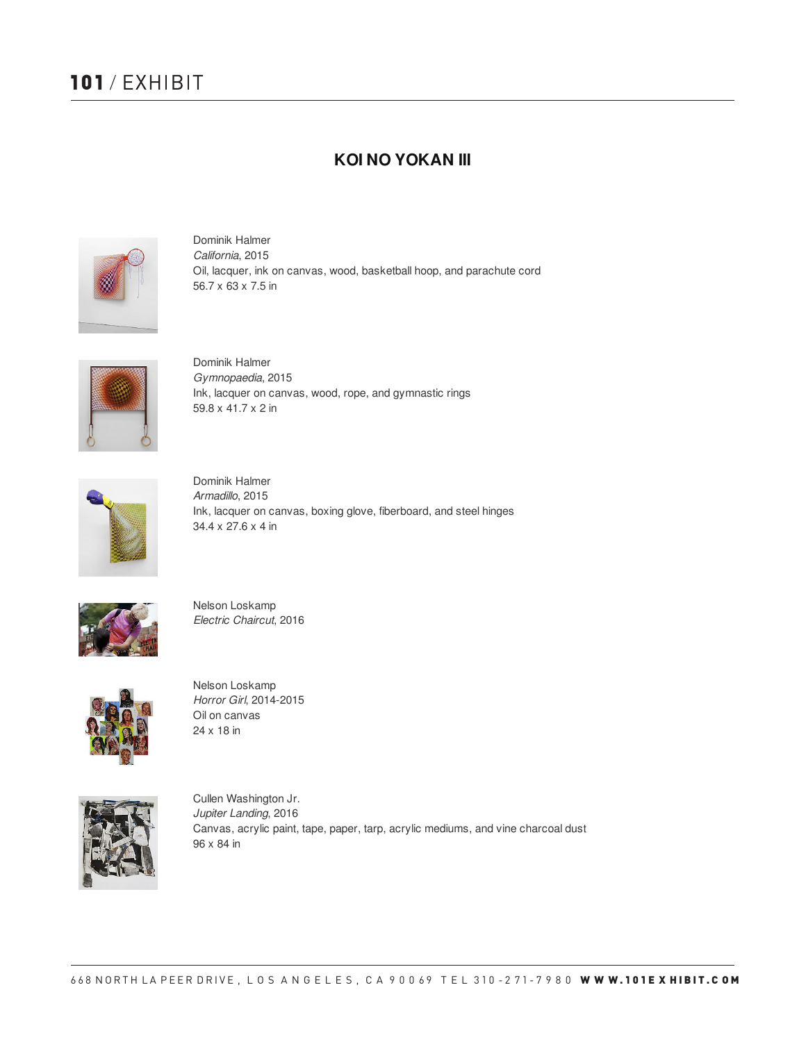# **101** / EXHIBIT

### **KOI NO YOKAN III**



Dominik Halmer *California*, 2015 Oil, lacquer, ink on canvas, wood, basketball hoop, and parachute cord 56.7 x 63 x 7.5 in



Dominik Halmer *Gymnopaedia*, 2015 Ink, lacquer on canvas, wood, rope, and gymnastic rings 59.8 x 41.7 x 2 in



Dominik Halmer *Armadillo*, 2015 Ink, lacquer on canvas, boxing glove, fiberboard, and steel hinges 34.4 x 27.6 x 4 in



Nelson Loskamp *Electric Chaircut*, 2016



Nelson Loskamp *Horror Girl*, 2014-2015 Oil on canvas 24 x 18 in



Cullen Washington Jr. *Jupiter Landing*, 2016 Canvas, acrylic paint, tape, paper, tarp, acrylic mediums, and vine charcoal dust 96 x 84 in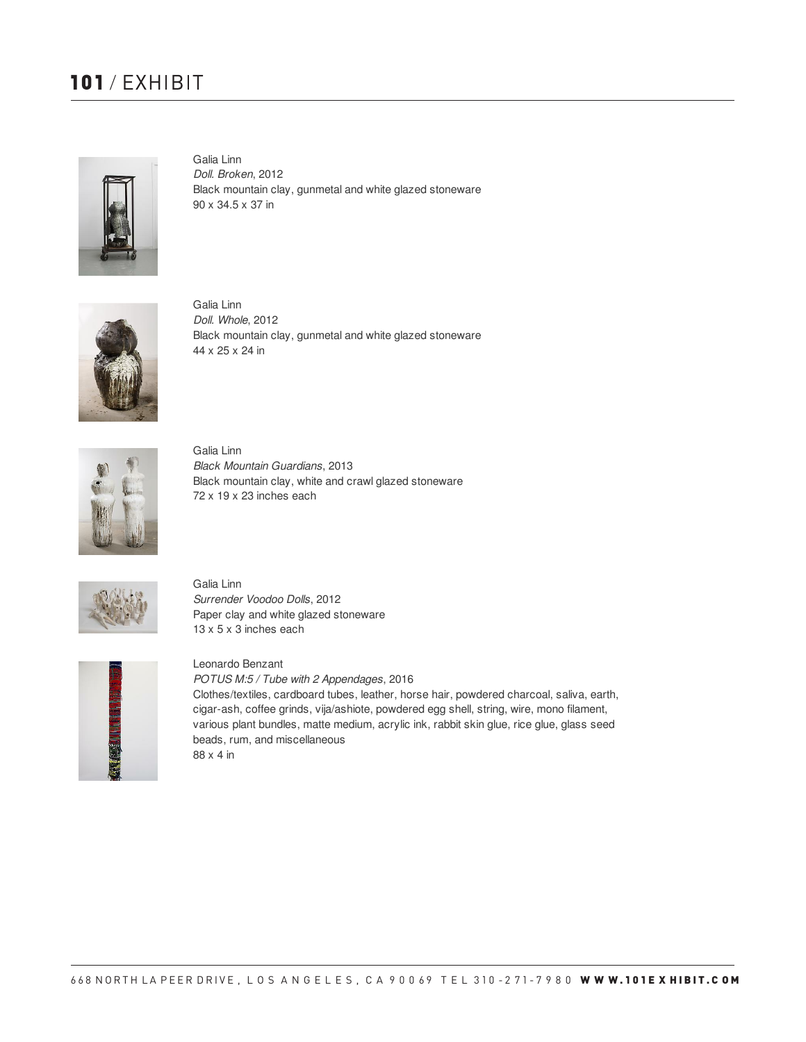## **101** / EXHIBIT



Galia Linn *Doll. Broken*, 2012 Black mountain clay, gunmetal and white glazed stoneware 90 x 34.5 x 37 in



Galia Linn *Doll. Whole*, 2012 Black mountain clay, gunmetal and white glazed stoneware 44 x 25 x 24 in



Galia Linn *Black Mountain Guardians*, 2013 Black mountain clay, white and crawl glazed stoneware 72 x 19 x 23 inches each



Galia Linn *Surrender Voodoo Dolls*, 2012 Paper clay and white glazed stoneware 13 x 5 x 3 inches each



Leonardo Benzant *POTUS M:5 / Tube with 2 Appendages*, 2016

Clothes/textiles, cardboard tubes, leather, horse hair, powdered charcoal, saliva, earth, cigar-ash, coffee grinds, vija/ashiote, powdered egg shell, string, wire, mono filament, various plant bundles, matte medium, acrylic ink, rabbit skin glue, rice glue, glass seed beads, rum, and miscellaneous 88 x 4 in